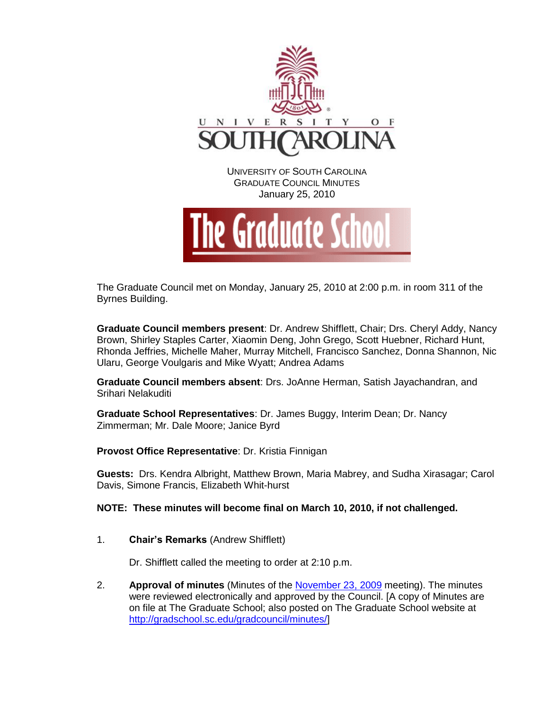

The Graduate Council met on Monday, January 25, 2010 at 2:00 p.m. in room 311 of the Byrnes Building.

**Graduate Council members present**: Dr. Andrew Shifflett, Chair; Drs. Cheryl Addy, Nancy Brown, Shirley Staples Carter, Xiaomin Deng, John Grego, Scott Huebner, Richard Hunt, Rhonda Jeffries, Michelle Maher, Murray Mitchell, Francisco Sanchez, Donna Shannon, Nic Ularu, George Voulgaris and Mike Wyatt; Andrea Adams

**Graduate Council members absent**: Drs. JoAnne Herman, Satish Jayachandran, and Srihari Nelakuditi

**Graduate School Representatives**: Dr. James Buggy, Interim Dean; Dr. Nancy Zimmerman; Mr. Dale Moore; Janice Byrd

**Provost Office Representative**: Dr. Kristia Finnigan

**Guests:** Drs. Kendra Albright, Matthew Brown, Maria Mabrey, and Sudha Xirasagar; Carol Davis, Simone Francis, Elizabeth Whit-hurst

**NOTE: These minutes will become final on March 10, 2010, if not challenged.**

1. **Chair's Remarks** (Andrew Shifflett)

Dr. Shifflett called the meeting to order at 2:10 p.m.

2. **Approval of minutes** (Minutes of the [November 23, 2009](http://gradschool.sc.edu/gradcouncil/docs/GCMinutes%20112309.pdf) meeting). The minutes were reviewed electronically and approved by the Council. [A copy of Minutes are on file at The Graduate School; also posted on The Graduate School website at [http://gradschool.sc.edu/gradcouncil/minutes/\]](http://gradschool.sc.edu/gradcouncil/minutes/)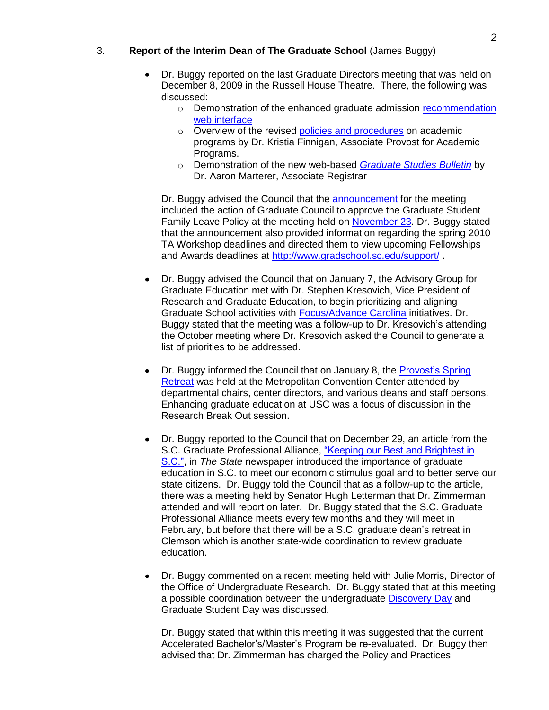# 3. **Report of the Interim Dean of The Graduate School** (James Buggy)

- Dr. Buggy reported on the last Graduate Directors meeting that was held on December 8, 2009 in the Russell House Theatre. There, the following was discussed:
	- o Demonstration of the enhanced graduate admission recommendation [web interface](http://gradschool.sc.edu/facstaff/)
	- o Overview of the revised [policies and procedures](http://www.sc.edu/provost/acadprog/index.shtml) on academic programs by Dr. Kristia Finnigan, Associate Provost for Academic Programs.
	- o Demonstration of the new web-based *[Graduate Studies Bulletin](http://bulletin.sc.edu/index.php?catoid=4)* by Dr. Aaron Marterer, Associate Registrar

Dr. Buggy advised the Council that the **announcement** for the meeting included the action of Graduate Council to approve the Graduate Student Family Leave Policy at the meeting held on [November 23.](http://gradschool.sc.edu/gradcouncil/docs/GCMinutes%20112309.pdf) Dr. Buggy stated that the announcement also provided information regarding the spring 2010 TA Workshop deadlines and directed them to view upcoming Fellowships and Awards deadlines at<http://www.gradschool.sc.edu/support/> .

- Dr. Buggy advised the Council that on January 7, the Advisory Group for Graduate Education met with Dr. Stephen Kresovich, Vice President of Research and Graduate Education, to begin prioritizing and aligning Graduate School activities with [Focus/Advance Carolina](http://www.sc.edu/focuscarolina/) initiatives. Dr. Buggy stated that the meeting was a follow-up to Dr. Kresovich's attending the October meeting where Dr. Kresovich asked the Council to generate a list of priorities to be addressed.
- Dr. Buggy informed the Council that on January 8, the [Provost's Spring](http://www.sc.edu/provost/acadadmin/provostmeetings/)  [Retreat](http://www.sc.edu/provost/acadadmin/provostmeetings/) was held at the Metropolitan Convention Center attended by departmental chairs, center directors, and various deans and staff persons. Enhancing graduate education at USC was a focus of discussion in the Research Break Out session.
- Dr. Buggy reported to the Council that on December 29, an article from the S.C. Graduate Professional Alliance, "Keeping our Best and Brightest in [S.C.",](http://www.thestate.com/editorial-columns/story/1087913.html) in *The State* newspaper introduced the importance of graduate education in S.C. to meet our economic stimulus goal and to better serve our state citizens. Dr. Buggy told the Council that as a follow-up to the article, there was a meeting held by Senator Hugh Letterman that Dr. Zimmerman attended and will report on later. Dr. Buggy stated that the S.C. Graduate Professional Alliance meets every few months and they will meet in February, but before that there will be a S.C. graduate dean's retreat in Clemson which is another state-wide coordination to review graduate education.
- Dr. Buggy commented on a recent meeting held with Julie Morris, Director of the Office of Undergraduate Research. Dr. Buggy stated that at this meeting a possible coordination between the undergraduate [Discovery Day](http://www.sc.edu/our/discovery.shtml) and Graduate Student Day was discussed.

Dr. Buggy stated that within this meeting it was suggested that the current Accelerated Bachelor's/Master's Program be re-evaluated. Dr. Buggy then advised that Dr. Zimmerman has charged the Policy and Practices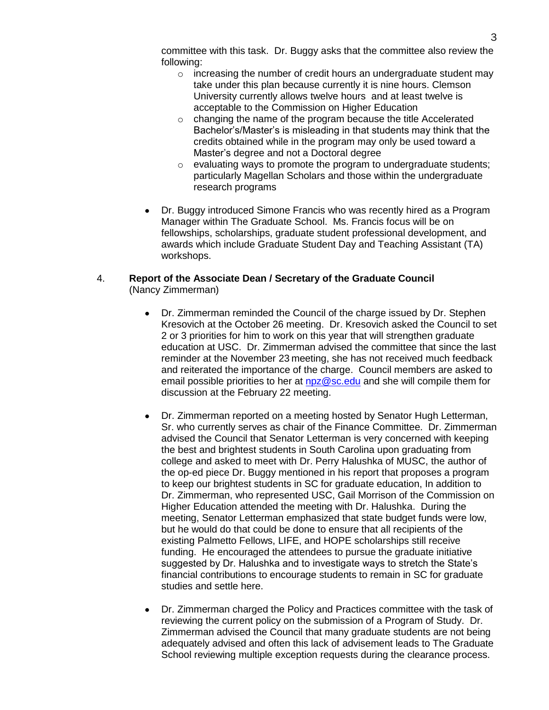committee with this task. Dr. Buggy asks that the committee also review the following:

- $\circ$  increasing the number of credit hours an undergraduate student may take under this plan because currently it is nine hours. Clemson University currently allows twelve hours and at least twelve is acceptable to the Commission on Higher Education
- o changing the name of the program because the title Accelerated Bachelor's/Master's is misleading in that students may think that the credits obtained while in the program may only be used toward a Master's degree and not a Doctoral degree
- $\circ$  evaluating ways to promote the program to undergraduate students; particularly Magellan Scholars and those within the undergraduate research programs
- Dr. Buggy introduced Simone Francis who was recently hired as a Program Manager within The Graduate School. Ms. Francis focus will be on fellowships, scholarships, graduate student professional development, and awards which include Graduate Student Day and Teaching Assistant (TA) workshops.

# 4. **Report of the Associate Dean / Secretary of the Graduate Council**  (Nancy Zimmerman)

- Dr. Zimmerman reminded the Council of the charge issued by Dr. Stephen Kresovich at the October 26 meeting. Dr. Kresovich asked the Council to set 2 or 3 priorities for him to work on this year that will strengthen graduate education at USC. Dr. Zimmerman advised the committee that since the last reminder at the November 23 meeting, she has not received much feedback and reiterated the importance of the charge. Council members are asked to email possible priorities to her at [npz@sc.edu](mailto:npz@sc.edu) and she will compile them for discussion at the February 22 meeting.
- Dr. Zimmerman reported on a meeting hosted by Senator Hugh Letterman, Sr. who currently serves as chair of the Finance Committee. Dr. Zimmerman advised the Council that Senator Letterman is very concerned with keeping the best and brightest students in South Carolina upon graduating from college and asked to meet with Dr. Perry Halushka of MUSC, the author of the op-ed piece Dr. Buggy mentioned in his report that proposes a program to keep our brightest students in SC for graduate education, In addition to Dr. Zimmerman, who represented USC, Gail Morrison of the Commission on Higher Education attended the meeting with Dr. Halushka. During the meeting, Senator Letterman emphasized that state budget funds were low, but he would do that could be done to ensure that all recipients of the existing Palmetto Fellows, LIFE, and HOPE scholarships still receive funding. He encouraged the attendees to pursue the graduate initiative suggested by Dr. Halushka and to investigate ways to stretch the State's financial contributions to encourage students to remain in SC for graduate studies and settle here.
- Dr. Zimmerman charged the Policy and Practices committee with the task of reviewing the current policy on the submission of a Program of Study. Dr. Zimmerman advised the Council that many graduate students are not being adequately advised and often this lack of advisement leads to The Graduate School reviewing multiple exception requests during the clearance process.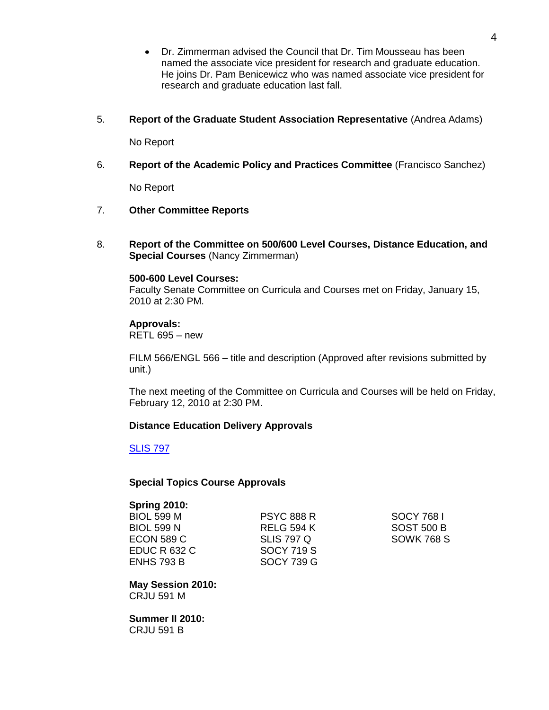- Dr. Zimmerman advised the Council that Dr. Tim Mousseau has been  $\bullet$ named the associate vice president for research and graduate education. He joins Dr. Pam Benicewicz who was named associate vice president for research and graduate education last fall.
- 5. **Report of the Graduate Student Association Representative** (Andrea Adams)

No Report

6. **Report of the Academic Policy and Practices Committee** (Francisco Sanchez)

No Report

- 7. **Other Committee Reports**
- 8. **Report of the Committee on 500/600 Level Courses, Distance Education, and Special Courses** (Nancy Zimmerman)

## **500-600 Level Courses:**

Faculty Senate Committee on Curricula and Courses met on Friday, January 15, 2010 at 2:30 PM.

**Approvals:** RETL 695 – new

FILM 566/ENGL 566 – title and description (Approved after revisions submitted by unit.)

The next meeting of the Committee on Curricula and Courses will be held on Friday, February 12, 2010 at 2:30 PM.

# **Distance Education Delivery Approvals**

[SLIS 797](http://gradschool.sc.edu/gradcouncil/09-10_Curricula/DED%20SLIS%20797.pdf)

# **Special Topics Course Approvals**

## **Spring 2010:**

| BIOL 599 M   | <b>PSYC 888 R</b> |
|--------------|-------------------|
| BIOL 599 N   | <b>RELG 594 K</b> |
| ECON 589 C   | <b>SLIS 797 Q</b> |
| EDUC R 632 C | <b>SOCY 719 S</b> |
| ENHS 793 B   | <b>SOCY 739 G</b> |

**SOCY 768 I SOST 500 B SOWK 768 S** 

**May Session 2010:** CRJU 591 M

**Summer II 2010:** CRJU 591 B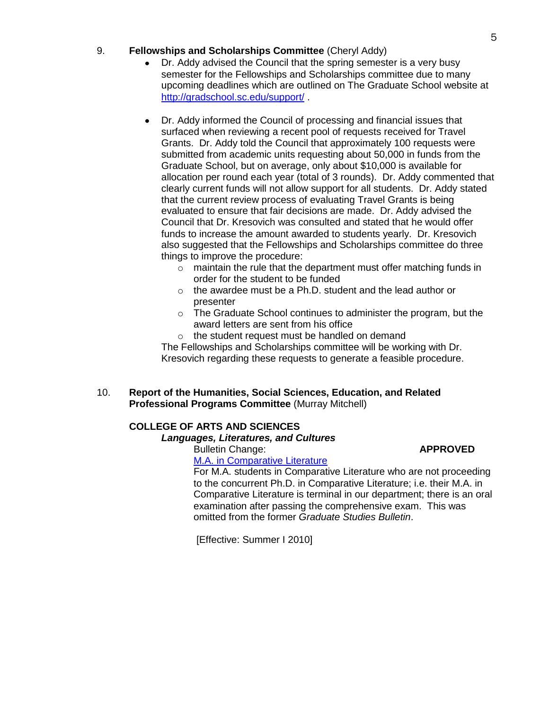# 9. **Fellowships and Scholarships Committee** (Cheryl Addy)

- Dr. Addy advised the Council that the spring semester is a very busy semester for the Fellowships and Scholarships committee due to many upcoming deadlines which are outlined on The Graduate School website at <http://gradschool.sc.edu/support/> .
- Dr. Addy informed the Council of processing and financial issues that surfaced when reviewing a recent pool of requests received for Travel Grants. Dr. Addy told the Council that approximately 100 requests were submitted from academic units requesting about 50,000 in funds from the Graduate School, but on average, only about \$10,000 is available for allocation per round each year (total of 3 rounds). Dr. Addy commented that clearly current funds will not allow support for all students. Dr. Addy stated that the current review process of evaluating Travel Grants is being evaluated to ensure that fair decisions are made. Dr. Addy advised the Council that Dr. Kresovich was consulted and stated that he would offer funds to increase the amount awarded to students yearly. Dr. Kresovich also suggested that the Fellowships and Scholarships committee do three things to improve the procedure:
	- $\circ$  maintain the rule that the department must offer matching funds in order for the student to be funded
	- o the awardee must be a Ph.D. student and the lead author or presenter
	- o The Graduate School continues to administer the program, but the award letters are sent from his office
	- o the student request must be handled on demand

The Fellowships and Scholarships committee will be working with Dr. Kresovich regarding these requests to generate a feasible procedure.

# 10. **Report of the Humanities, Social Sciences, Education, and Related Professional Programs Committee** (Murray Mitchell)

# **COLLEGE OF ARTS AND SCIENCES**

# *Languages, Literatures, and Cultures*

Bulletin Change: **APPROVED**

[M.A. in Comparative Literature](http://gradschool.sc.edu/gradcouncil/09-10_Curricula/BCH%20M.A.%20in%20Comparative%20Literature.pdf)

For M.A. students in Comparative Literature who are not proceeding to the concurrent Ph.D. in Comparative Literature; i.e. their M.A. in Comparative Literature is terminal in our department; there is an oral examination after passing the comprehensive exam. This was omitted from the former *Graduate Studies Bulletin*.

[Effective: Summer I 2010]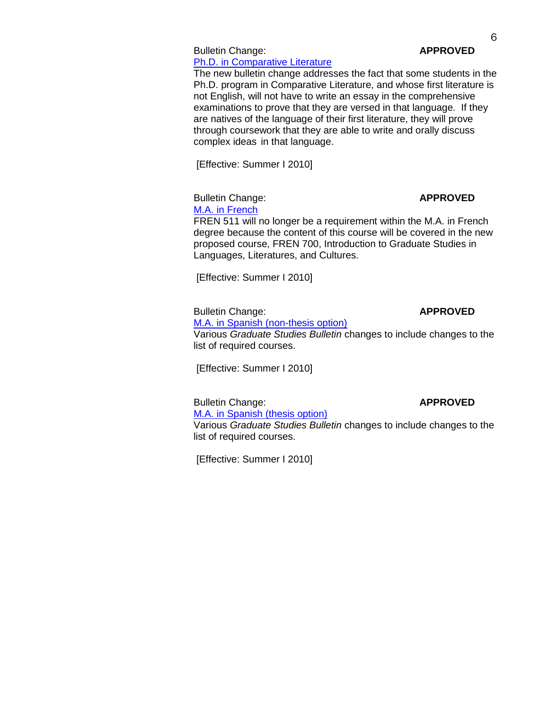## Bulletin Change: **APPROVED** [Ph.D. in Comparative Literature](http://gradschool.sc.edu/gradcouncil/09-10_Curricula/BCH%20Ph.D.%20in%20Comparative%20Literature.pdf)

The new bulletin change addresses the fact that some students in the Ph.D. program in Comparative Literature, and whose first literature is not English, will not have to write an essay in the comprehensive examinations to prove that they are versed in that language. If they are natives of the language of their first literature, they will prove through coursework that they are able to write and orally discuss complex ideas in that language.

[Effective: Summer I 2010]

# Bulletin Change: **APPROVED**

[M.A. in French](http://gradschool.sc.edu/gradcouncil/09-10_Curricula/BCH%20French.pdf)

FREN 511 will no longer be a requirement within the M.A. in French degree because the content of this course will be covered in the new proposed course, FREN 700, Introduction to Graduate Studies in Languages, Literatures, and Cultures.

[Effective: Summer I 2010]

Bulletin Change: **APPROVED**

[M.A. in Spanish \(non-thesis option\)](http://gradschool.sc.edu/gradcouncil/09-10_Curricula/BCH%20Spanish%20-%20Non-Thesis%20Option.pdf) Various *Graduate Studies Bulletin* changes to include changes to the list of required courses.

[Effective: Summer I 2010]

Bulletin Change: **APPROVED**

[M.A. in Spanish \(thesis option\)](http://gradschool.sc.edu/gradcouncil/09-10_Curricula/humanitiescurricula.htm) Various *Graduate Studies Bulletin* changes to include changes to the list of required courses.

[Effective: Summer I 2010]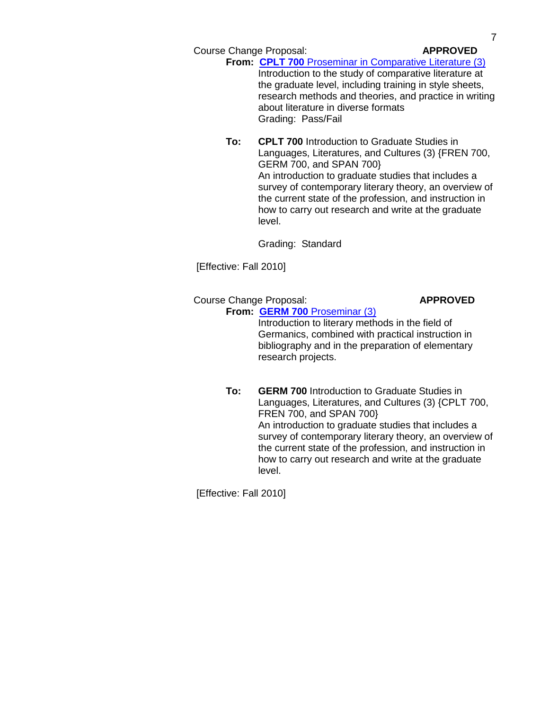Course Change Proposal: **APPROVED**

**From: CPLT 700** [Proseminar in Comparative Literature \(3\)](http://gradschool.sc.edu/gradcouncil/09-10_Curricula/CCP%20CPLT%20700.pdf) Introduction to the study of comparative literature at the graduate level, including training in style sheets, research methods and theories, and practice in writing about literature in diverse formats Grading: Pass/Fail

**To: CPLT 700** Introduction to Graduate Studies in Languages, Literatures, and Cultures (3) {FREN 700, GERM 700, and SPAN 700} An introduction to graduate studies that includes a survey of contemporary literary theory, an overview of the current state of the profession, and instruction in how to carry out research and write at the graduate level.

Grading: Standard

[Effective: Fall 2010]

# Course Change Proposal: **APPROVED From: GERM 700** [Proseminar \(3\)](http://gradschool.sc.edu/gradcouncil/09-10_Curricula/CCP%20GERM%20700.pdf)

# Introduction to literary methods in the field of Germanics, combined with practical instruction in bibliography and in the preparation of elementary research projects.

**To: GERM 700** Introduction to Graduate Studies in Languages, Literatures, and Cultures (3) {CPLT 700, FREN 700, and SPAN 700} An introduction to graduate studies that includes a survey of contemporary literary theory, an overview of the current state of the profession, and instruction in how to carry out research and write at the graduate level.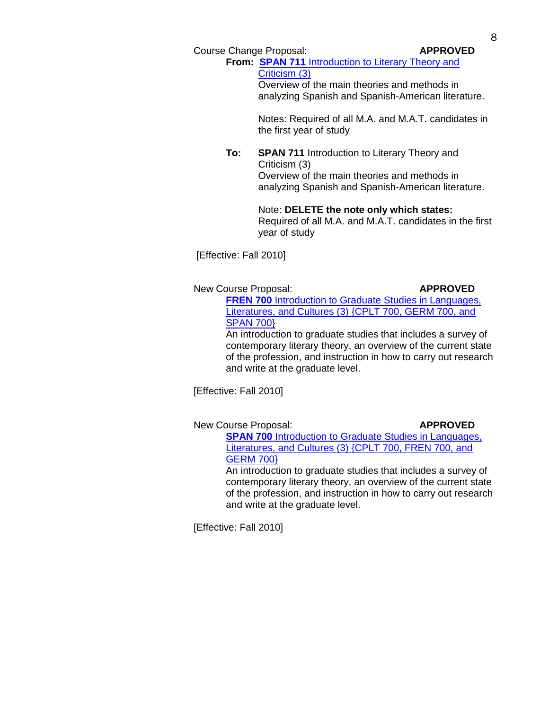Course Change Proposal: **APPROVED**

**From: SPAN 711** [Introduction to Literary Theory and](http://gradschool.sc.edu/gradcouncil/09-10_Curricula/CCP%20SPAN%20711.pdf)  [Criticism \(3\)](http://gradschool.sc.edu/gradcouncil/09-10_Curricula/CCP%20SPAN%20711.pdf) Overview of the main theories and methods in

analyzing Spanish and Spanish-American literature.

Notes: Required of all M.A. and M.A.T. candidates in the first year of study

**To: SPAN 711** Introduction to Literary Theory and Criticism (3) Overview of the main theories and methods in analyzing Spanish and Spanish-American literature.

# Note: **DELETE the note only which states:**

Required of all M.A. and M.A.T. candidates in the first year of study

[Effective: Fall 2010]

New Course Proposal: **APPROVED**

**FREN 700** Introduction to Graduate Studies in Languages, Literatures, and Cultures (3) [{CPLT 700, GERM 700, and](http://gradschool.sc.edu/gradcouncil/09-10_Curricula/NCP%20FREN%20700.pdf)  [SPAN 700}](http://gradschool.sc.edu/gradcouncil/09-10_Curricula/NCP%20FREN%20700.pdf)

An introduction to graduate studies that includes a survey of contemporary literary theory, an overview of the current state of the profession, and instruction in how to carry out research and write at the graduate level.

[Effective: Fall 2010]

New Course Proposal: **APPROVED** 

**SPAN 700** Introduction to Graduate Studies in Languages, [Literatures, and Cultures \(3\) {CPLT 700, FREN 700, and](http://gradschool.sc.edu/gradcouncil/09-10_Curricula/NCP%20SPAN%20700.pdf)  [GERM](http://gradschool.sc.edu/gradcouncil/09-10_Curricula/NCP%20SPAN%20700.pdf) 700}

An introduction to graduate studies that includes a survey of contemporary literary theory, an overview of the current state of the profession, and instruction in how to carry out research and write at the graduate level.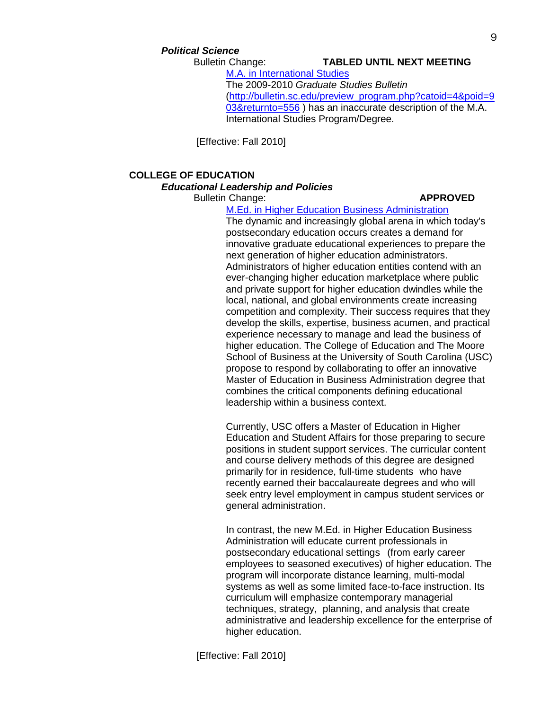# *Political Science*

# Bulletin Change: **TABLED UNTIL NEXT MEETING**

[M.A. in International Studies](http://gradschool.sc.edu/gradcouncil/09-10_Curricula/BCH%20M.A.%20in%20International%20Studies.pdf) The 2009-2010 *Graduate Studies Bulletin* [\(http://bulletin.sc.edu/preview\\_program.php?catoid=4&poid=9](http://bulletin.sc.edu/preview_program.php?catoid=4&poid=903&returnto=556) [03&returnto=556](http://bulletin.sc.edu/preview_program.php?catoid=4&poid=903&returnto=556) ) has an inaccurate description of the M.A. International Studies Program/Degree.

[Effective: Fall 2010]

# **COLLEGE OF EDUCATION**

## *Educational Leadership and Policies*

## Bulletin Change: **APPROVED**

[M.Ed. in Higher Education Business Administration](http://gradschool.sc.edu/gradcouncil/09-10_Curricula/BCH%20M.Ed.%20in%20Higher%20Education%20Business%20Administration.pdf) The dynamic and increasingly global arena in which today's postsecondary education occurs creates a demand for innovative graduate educational experiences to prepare the next generation of higher education administrators. Administrators of higher education entities contend with an ever-changing higher education marketplace where public and private support for higher education dwindles while the local, national, and global environments create increasing competition and complexity. Their success requires that they develop the skills, expertise, business acumen, and practical experience necessary to manage and lead the business of higher education. The College of Education and The Moore School of Business at the University of South Carolina (USC) propose to respond by collaborating to offer an innovative Master of Education in Business Administration degree that combines the critical components defining educational leadership within a business context.

Currently, USC offers a Master of Education in Higher Education and Student Affairs for those preparing to secure positions in student support services. The curricular content and course delivery methods of this degree are designed primarily for in residence, full-time students who have recently earned their baccalaureate degrees and who will seek entry level employment in campus student services or general administration.

In contrast, the new M.Ed. in Higher Education Business Administration will educate current professionals in postsecondary educational settings (from early career employees to seasoned executives) of higher education. The program will incorporate distance learning, multi-modal systems as well as some limited face-to-face instruction. Its curriculum will emphasize contemporary managerial techniques, strategy, planning, and analysis that create administrative and leadership excellence for the enterprise of higher education.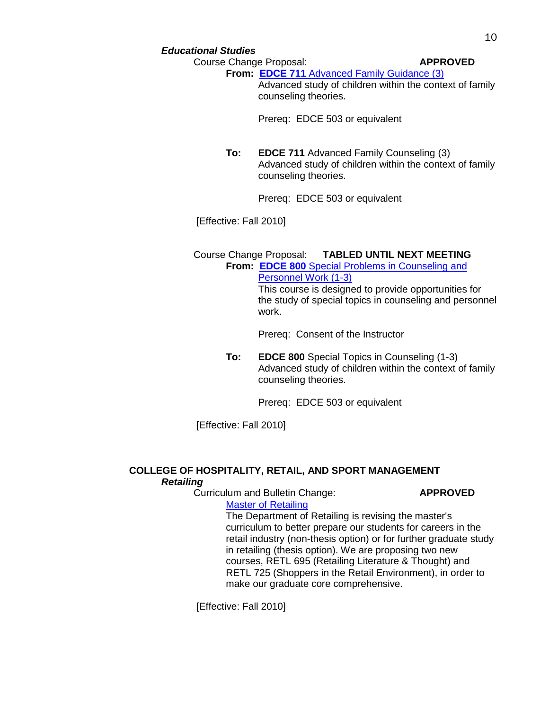## *Educational Studies*

Course Change Proposal: **APPROVED**

**From: EDCE 711** [Advanced Family Guidance \(3\)](http://gradschool.sc.edu/gradcouncil/09-10_Curricula/CCP%20EDCE%20711.pdf)

Advanced study of children within the context of family counseling theories.

Prereq: EDCE 503 or equivalent

**To: EDCE 711** Advanced Family Counseling (3) Advanced study of children within the context of family counseling theories.

Prereq: EDCE 503 or equivalent

[Effective: Fall 2010]

# Course Change Proposal: **TABLED UNTIL NEXT MEETING**

**From: EDCE 800** [Special Problems in Counseling and](http://gradschool.sc.edu/gradcouncil/09-10_Curricula/CCP%20EDCE%20800.pdf)  [Personnel Work \(1-3\)](http://gradschool.sc.edu/gradcouncil/09-10_Curricula/CCP%20EDCE%20800.pdf)

This course is designed to provide opportunities for the study of special topics in counseling and personnel work.

Prereq: Consent of the Instructor

**To: EDCE 800** Special Topics in Counseling (1-3) Advanced study of children within the context of family counseling theories.

Prereq: EDCE 503 or equivalent

[Effective: Fall 2010]

# **COLLEGE OF HOSPITALITY, RETAIL, AND SPORT MANAGEMENT** *Retailing*

Curriculum and Bulletin Change: **APPROVED**

[Master of Retailing](http://gradschool.sc.edu/gradcouncil/09-10_Curricula/CBC%20Retailing.pdf)

The Department of Retailing is revising the master's curriculum to better prepare our students for careers in the retail industry (non-thesis option) or for further graduate study in retailing (thesis option). We are proposing two new courses, RETL 695 (Retailing Literature & Thought) and RETL 725 (Shoppers in the Retail Environment), in order to make our graduate core comprehensive.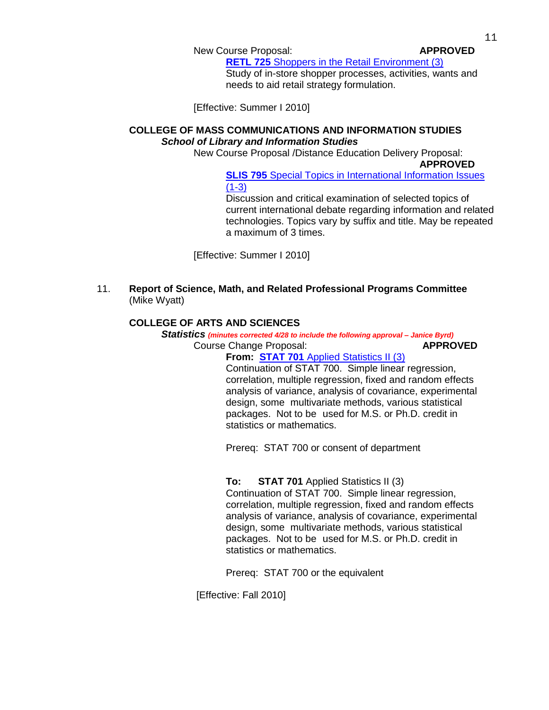## New Course Proposal: **APPROVED**

**RETL 725** [Shoppers in the Retail Environment \(3\)](http://gradschool.sc.edu/gradcouncil/09-10_Curricula/NCP%20RETL%20725.pdf)

Study of in-store shopper processes, activities, wants and needs to aid retail strategy formulation.

[Effective: Summer I 2010]

# **COLLEGE OF MASS COMMUNICATIONS AND INFORMATION STUDIES** *School of Library and Information Studies*

New Course Proposal /Distance Education Delivery Proposal:

**APPROVED**

**SLIS 795** Special Topics in International Information Issues  $(1-3)$ 

Discussion and critical examination of selected topics of current international debate regarding information and related technologies. Topics vary by suffix and title. May be repeated a maximum of 3 times.

[Effective: Summer I 2010]

11. **Report of Science, Math, and Related Professional Programs Committee** (Mike Wyatt)

# **COLLEGE OF ARTS AND SCIENCES**

*Statistics (minutes corrected 4/28 to include the following approval – Janice Byrd)* Course Change Proposal: **APPROVED**

# **From: STAT 701** [Applied Statistics II \(3\)](http://gradschool.sc.edu/gradcouncil/09-10_Curricula/CCP%20STAT%20701.pdf)

Continuation of STAT 700. Simple linear regression, correlation, multiple regression, fixed and random effects analysis of variance, analysis of covariance, experimental design, some multivariate methods, various statistical packages. Not to be used for M.S. or Ph.D. credit in statistics or mathematics.

Prereq: STAT 700 or consent of department

# **To: STAT 701** Applied Statistics II (3)

Continuation of STAT 700. Simple linear regression, correlation, multiple regression, fixed and random effects analysis of variance, analysis of covariance, experimental design, some multivariate methods, various statistical packages. Not to be used for M.S. or Ph.D. credit in statistics or mathematics.

Prereq: STAT 700 or the equivalent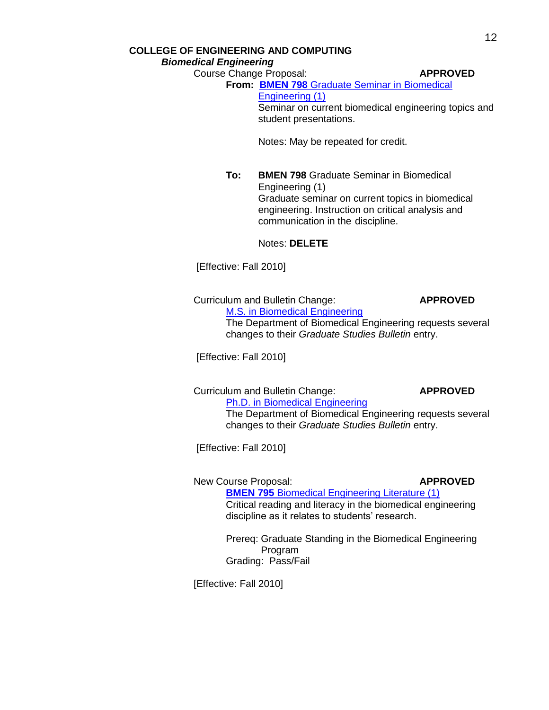# **COLLEGE OF ENGINEERING AND COMPUTING** *Biomedical Engineering*

Course Change Proposal: **APPROVED**

# **From: BMEN 798** [Graduate Seminar in Biomedical](http://gradschool.sc.edu/gradcouncil/09-10_Curricula/CCP%20BMEN%20798.pdf)  [Engineering \(1\)](http://gradschool.sc.edu/gradcouncil/09-10_Curricula/CCP%20BMEN%20798.pdf) Seminar on current biomedical engineering topics and student presentations.

Notes: May be repeated for credit.

**To: BMEN 798** Graduate Seminar in Biomedical Engineering (1) Graduate seminar on current topics in biomedical engineering. Instruction on critical analysis and communication in the discipline.

# Notes: **DELETE**

[Effective: Fall 2010]

# Curriculum and Bulletin Change: **APPROVED**

[M.S. in Biomedical Engineering](http://gradschool.sc.edu/gradcouncil/09-10_Curricula/CBC%20MS%20in%20BIOMEDICAL%20ENGINEERING.pdf) The Department of Biomedical Engineering requests several changes to their *Graduate Studies Bulletin* entry.

[Effective: Fall 2010]

Curriculum and Bulletin Change: **APPROVED**

[Ph.D. in Biomedical Engineering](http://gradschool.sc.edu/gradcouncil/09-10_Curricula/CBC%20Ph.D.%20in%20Biomedical%20Engineering.pdf) The Department of Biomedical Engineering requests several changes to their *Graduate Studies Bulletin* entry.

[Effective: Fall 2010]

# New Course Proposal: **APPROVED**

**BMEN 795** [Biomedical Engineering Literature \(1\)](http://gradschool.sc.edu/gradcouncil/09-10_Curricula/NCP%20BMEN%20795.pdf) Critical reading and literacy in the biomedical engineering discipline as it relates to students' research.

Prereq: Graduate Standing in the Biomedical Engineering Program Grading: Pass/Fail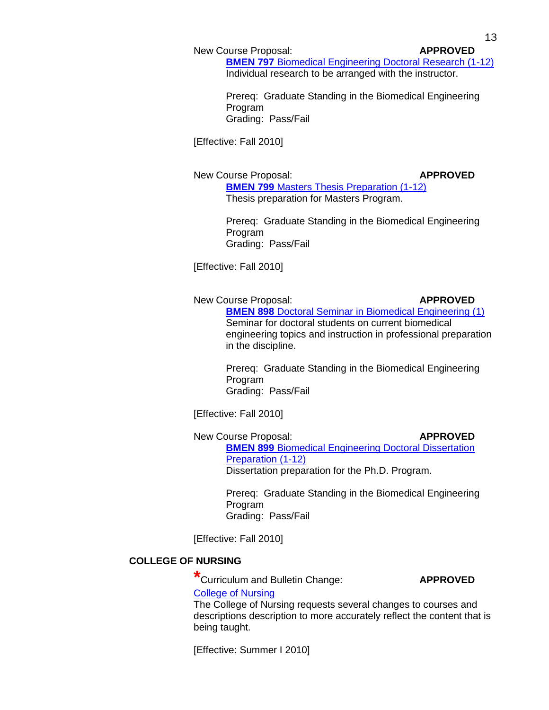## New Course Proposal: **APPROVED**

**BMEN 797** [Biomedical Engineering Doctoral Research \(1-12\)](http://gradschool.sc.edu/gradcouncil/09-10_Curricula/NCP%20BMEN%20797.pdf) Individual research to be arranged with the instructor.

Prereq: Graduate Standing in the Biomedical Engineering Program Grading: Pass/Fail

[Effective: Fall 2010]

New Course Proposal: **APPROVED BMEN 799** [Masters Thesis Preparation \(1-12\)](http://gradschool.sc.edu/gradcouncil/09-10_Curricula/NCP%20BMEN%20799.pdf)

Thesis preparation for Masters Program.

Prereq: Graduate Standing in the Biomedical Engineering Program Grading: Pass/Fail

[Effective: Fall 2010]

New Course Proposal: **APPROVED BMEN 898 [Doctoral Seminar in Biomedical Engineering \(1\)](http://gradschool.sc.edu/gradcouncil/09-10_Curricula/NCP%20BMEN%20898.pdf)** Seminar for doctoral students on current biomedical engineering topics and instruction in professional preparation in the discipline.

> Prereq: Graduate Standing in the Biomedical Engineering Program Grading: Pass/Fail

[Effective: Fall 2010]

New Course Proposal: **APPROVED BMEN 899 Biomedical Engineering Doctoral Dissertation** [Preparation](http://gradschool.sc.edu/gradcouncil/09-10_Curricula/NCP%20BMEN%20899.pdf) (1-12) Dissertation preparation for the Ph.D. Program.

> Prereq: Graduate Standing in the Biomedical Engineering Program Grading: Pass/Fail

[Effective: Fall 2010]

# **COLLEGE OF NURSING**

**\***Curriculum and Bulletin Change: **APPROVED**

[College of Nursing](http://gradschool.sc.edu/gradcouncil/09-10_Curricula/CBC%20NURSING.pdf)

The College of Nursing requests several changes to courses and descriptions description to more accurately reflect the content that is being taught.

[Effective: Summer I 2010]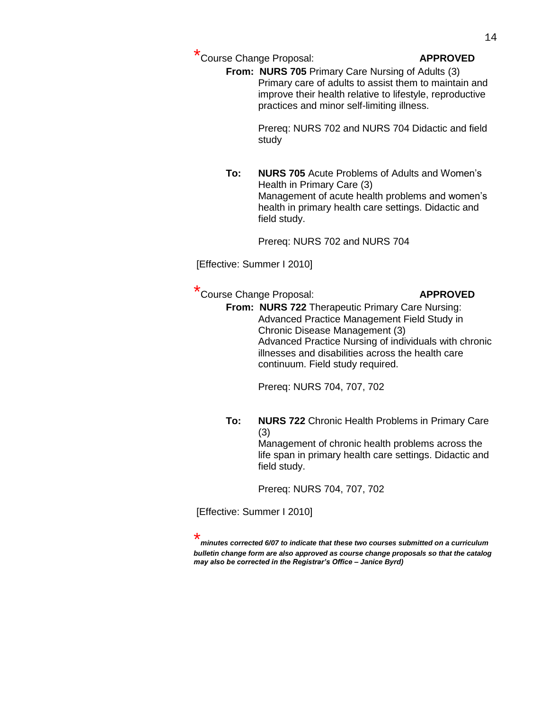\* Course Change Proposal: **APPROVED**

**From: NURS 705** Primary Care Nursing of Adults (3) Primary care of adults to assist them to maintain and improve their health relative to lifestyle, reproductive practices and minor self-limiting illness.

> Prereq: NURS 702 and NURS 704 Didactic and field study

**To: NURS 705** Acute Problems of Adults and Women's Health in Primary Care (3) Management of acute health problems and women's health in primary health care settings. Didactic and field study.

Prereq: NURS 702 and NURS 704

[Effective: Summer I 2010]

\* Course Change Proposal: **APPROVED**

**From: NURS 722** Therapeutic Primary Care Nursing: Advanced Practice Management Field Study in Chronic Disease Management (3) Advanced Practice Nursing of individuals with chronic illnesses and disabilities across the health care continuum. Field study required.

Prereq: NURS 704, 707, 702

**To: NURS 722** Chronic Health Problems in Primary Care (3)

Management of chronic health problems across the life span in primary health care settings. Didactic and field study.

Prereq: NURS 704, 707, 702

[Effective: Summer I 2010]

\* *minutes corrected 6/07 to indicate that these two courses submitted on a curriculum bulletin change form are also approved as course change proposals so that the catalog may also be corrected in the Registrar's Office – Janice Byrd)*